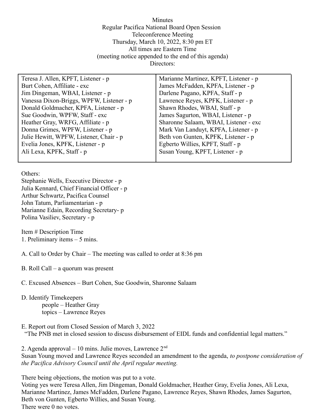Minutes Regular Pacifica National Board Open Session Teleconference Meeting Thursday, March 10, 2022, 8:30 pm ET All times are Eastern Time (meeting notice appended to the end of this agenda) Directors:

| Teresa J. Allen, KPFT, Listener - p      | Marianne Martinez, KPFT, Listener - p |
|------------------------------------------|---------------------------------------|
| Burt Cohen, Affiliate - exc              | James McFadden, KPFA, Listener - p    |
| Jim Dingeman, WBAI, Listener - p         | Darlene Pagano, KPFA, Staff - p       |
| Vanessa Dixon-Briggs, WPFW, Listener - p | Lawrence Reyes, KPFK, Listener - p    |
| Donald Goldmacher, KPFA, Listener - p    | Shawn Rhodes, WBAI, Staff - p         |
| Sue Goodwin, WPFW, Staff - exc           | James Sagurton, WBAI, Listener - p    |
| Heather Gray, WRFG, Affiliate - p        | Sharonne Salaam, WBAI, Listener - exc |
| Donna Grimes, WPFW, Listener - p         | Mark Van Landuyt, KPFA, Listener - p  |
| Julie Hewitt, WPFW, Listener, Chair - p  | Beth von Gunten, KPFK, Listener - p   |
| Evelia Jones, KPFK, Listener - p         | Egberto Willies, KPFT, Staff - p      |
| Ali Lexa, KPFK, Staff - p                | Susan Young, KPFT, Listener - p       |
|                                          |                                       |

Others:

Stephanie Wells, Executive Director - p Julia Kennard, Chief Financial Officer - p Arthur Schwartz, Pacifica Counsel John Tatum, Parliamentarian - p Marianne Edain, Recording Secretary- p Polina Vasiliev, Secretary - p

Item # Description Time 1. Preliminary items – 5 mins.

A. Call to Order by Chair – The meeting was called to order at 8:36 pm

B. Roll Call – a quorum was present

C. Excused Absences – Burt Cohen, Sue Goodwin, Sharonne Salaam

- D. Identify Timekeepers people – Heather Gray topics – Lawrence Reyes
- E. Report out from Closed Session of March 3, 2022 "The PNB met in closed session to discuss disbursement of EIDL funds and confidential legal matters."

2. Agenda approval – 10 mins. Julie moves, Lawrence  $2<sup>nd</sup>$ Susan Young moved and Lawrence Reyes seconded an amendment to the agenda, *to postpone consideration of the Pacifica Advisory Council until the April regular meeting.*

There being objections, the motion was put to a vote. Voting yes were Teresa Allen, Jim Dingeman, Donald Goldmacher, Heather Gray, Evelia Jones, Ali Lexa, Marianne Martinez, James McFadden, Darlene Pagano, Lawrence Reyes, Shawn Rhodes, James Sagurton, Beth von Gunten, Egberto Willies, and Susan Young. There were 0 no votes.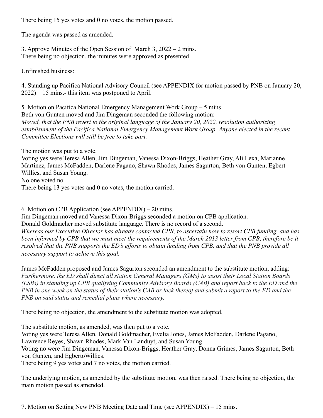There being 15 yes votes and 0 no votes, the motion passed.

The agenda was passed as amended.

3. Approve Minutes of the Open Session of March 3, 2022 – 2 mins. There being no objection, the minutes were approved as presented

Unfinished business:

4. Standing up Pacifica National Advisory Council (see APPENDIX for motion passed by PNB on January 20, 2022) – 15 mins.- this item was postponed to April.

5. Motion on Pacifica National Emergency Management Work Group – 5 mins. Beth von Gunten moved and Jim Dingeman seconded the following motion: *Moved, that the PNB revert to the original language of the January 20, 2022, resolution authorizing establishment of the Pacifica National Emergency Management Work Group. Anyone elected in the recent Committee Elections will still be free to take part.*

The motion was put to a vote. Voting yes were Teresa Allen, Jim Dingeman, Vanessa Dixon-Briggs, Heather Gray, Ali Lexa, Marianne Martinez, James McFadden, Darlene Pagano, Shawn Rhodes, James Sagurton, Beth von Gunten, Egbert Willies, and Susan Young. No one voted no There being 13 yes votes and 0 no votes, the motion carried.

6. Motion on CPB Application (see APPENDIX) – 20 mins. Jim Dingeman moved and Vanessa Dixon-Briggs seconded a motion on CPB application. Donald Goldmacher moved substitute language. There is no record of a second. *Whereas our Executive Director has already contacted CPB, to ascertain how to resort CPB funding, and has been informed by CPB that we must meet the requirements of the March 2013 letter from CPB, therefore be it resolved that the PNB supports the ED's efforts to obtain funding from CPB, and that the PNB provide all necessary support to achieve this goal.*

James McFadden proposed and James Sagurton seconded an amendment to the substitute motion, adding: *Furthermore, the ED shall direct all station General Managers (GMs) to assist their Local Station Boards (LSBs) in standing up CPB qualifying Community Advisory Boards (CAB) and report back to the ED and the PNB in one week on the status of their station's CAB or lack thereof and submit a report to the ED and the PNB on said status and remedial plans where necessary.*

There being no objection, the amendment to the substitute motion was adopted.

The substitute motion, as amended, was then put to a vote. Voting yes were Teresa Allen, Donald Goldmacher, Evelia Jones, James McFadden, Darlene Pagano, Lawrence Reyes, Shawn Rhodes, Mark Van Landuyt, and Susan Young. Voting no were Jim Dingeman, Vanessa Dixon-Briggs, Heather Gray, Donna Grimes, James Sagurton, Beth von Gunten, and EgbertoWillies. There being 9 yes votes and 7 no votes, the motion carried.

The underlying motion, as amended by the substitute motion, was then raised. There being no objection, the main motion passed as amended.

7. Motion on Setting New PNB Meeting Date and Time (see APPENDIX) – 15 mins.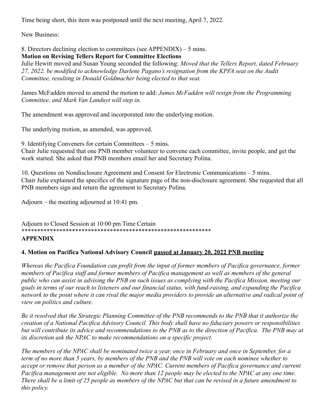Time being short, this item was postponed until the next meeting, April 7, 2022.

New Business:

8. Directors declining election to committees (see APPENDIX) – 5 mins.

## **Motion on Revising Tellers Report for Committee Elections**

Julie Hewitt moved and Susan Young seconded the following: *Moved that the Tellers Report, dated February 27, 2022, be modified to acknowledge Darlene Pagano's resignation from the KPFA seat on the Audit Committee, resulting in Donald Goldmacher being elected to that seat.*

James McFadden moved to amend the motion to add: *James McFadden will resign from the Programming Committee, and Mark Van Landuyt will step in.*

The amendment was approved and incorporated into the underlying motion.

The underlying motion, as amended, was approved.

9. Identifying Conveners for certain Committees – 5 mins.

Chair Julie requested that one PNB member volunteer to convene each committee, invite people, and get the work started. She asked that PNB members email her and Secretary Polina.

10. Questions on Nondisclosure Agreement and Consent for Electronic Communications – 5 mins. Chair Julie explained the specifics of the signature page of the non-disclosure agreement. She requested that all PNB members sign and return the agreement to Secretary Polina.

Adjourn – the meeting adjourned at 10:41 pm.

Adjourn to Closed Session at 10:00 pm Time Certain \*\*\*\*\*\*\*\*\*\*\*\*\*\*\*\*\*\*\*\*\*\*\*\*\*\*\*\*\*\*\*\*\*\*\*\*\*\*\*\*\*\*\*\*\*\*\*\*\*\*\*\*\*\*\*\*\*\*\*\*

## **APPENDIX**

## **4. Motion on Pacifica National Advisory Council passed at January 20, 2022 PNB meeting**

*Whereas the Pacifica Foundation can profit from the input of former members of Pacifica governance, former members of Pacifica staff and former members of Pacifica management as well as members of the general public who can assist in advising the PNB on such issues as complying with the Pacifica Mission, meeting our goals in terms of our reach to listeners and our financial status, with fund-raising, and expanding the Pacifica network to the point where it can rival the major media providers to provide an alternative and radical point of view on politics and culture.*

*Be it resolved that the Strategic Planning Committee of the PNB recommends to the PNB that it authorize the creation of a National Pacifica Advisory Council. This body shall have no fiduciary powers or responsibilities but will contribute its advice and recommendations to the PNB as to the direction of Pacifica. The PNB may at its discretion ask the NPAC to make recommendations on a specific project.*

*The members of the NPAC shall be nominated twice a year, once in February and once in September, for a term of no more than 5 years, by members of the PNB and the PNB will vote on each nominee whether to accept or remove that person as a member of the NPAC. Current members of Pacifica governance and current Pacifica management are not eligible. No more than 12 people may be elected to the NPAC at any one time. There shall be a limit of 25 people as members of the NPAC but that can be revised in a future amendment to this policy.*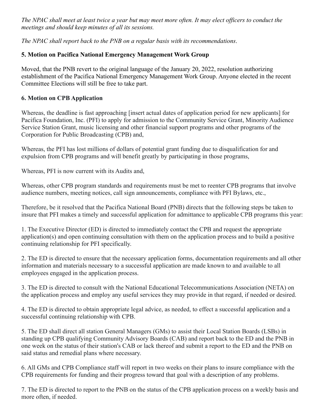*The NPAC shall meet at least twice a year but may meet more often. It may elect officers to conduct the meetings and should keep minutes of all its sessions.*

*The NPAC shall report back to the PNB on a regular basis with its recommendations*.

# **5. Motion on Pacifica National Emergency Management Work Group**

Moved, that the PNB revert to the original language of the January 20, 2022, resolution authorizing establishment of the Pacifica National Emergency Management Work Group. Anyone elected in the recent Committee Elections will still be free to take part.

## **6. Motion on CPB Application**

Whereas, the deadline is fast approaching [insert actual dates of application period for new applicants] for Pacifica Foundation, Inc. (PFI) to apply for admission to the Community Service Grant, Minority Audience Service Station Grant, music licensing and other financial support programs and other programs of the Corporation for Public Broadcasting (CPB) and,

Whereas, the PFI has lost millions of dollars of potential grant funding due to disqualification for and expulsion from CPB programs and will benefit greatly by participating in those programs,

Whereas, PFI is now current with its Audits and,

Whereas, other CPB program standards and requirements must be met to reenter CPB programs that involve audience numbers, meeting notices, call sign announcements, compliance with PFI Bylaws, etc.,

Therefore, be it resolved that the Pacifica National Board (PNB) directs that the following steps be taken to insure that PFI makes a timely and successful application for admittance to applicable CPB programs this year:

1. The Executive Director (ED) is directed to immediately contact the CPB and request the appropriate application(s) and open continuing consultation with them on the application process and to build a positive continuing relationship for PFI specifically.

2. The ED is directed to ensure that the necessary application forms, documentation requirements and all other information and materials necessary to a successful application are made known to and available to all employees engaged in the application process.

3. The ED is directed to consult with the National Educational Telecommunications Association (NETA) on the application process and employ any useful services they may provide in that regard, if needed or desired.

4. The ED is directed to obtain appropriate legal advice, as needed, to effect a successful application and a successful continuing relationship with CPB.

5. The ED shall direct all station General Managers (GMs) to assist their Local Station Boards (LSBs) in standing up CPB qualifying Community Advisory Boards (CAB) and report back to the ED and the PNB in one week on the status of their station's CAB or lack thereof and submit a report to the ED and the PNB on said status and remedial plans where necessary.

6. All GMs and CPB Compliance staff will report in two weeks on their plans to insure compliance with the CPB requirements for funding and their progress toward that goal with a description of any problems.

7. The ED is directed to report to the PNB on the status of the CPB application process on a weekly basis and more often, if needed.